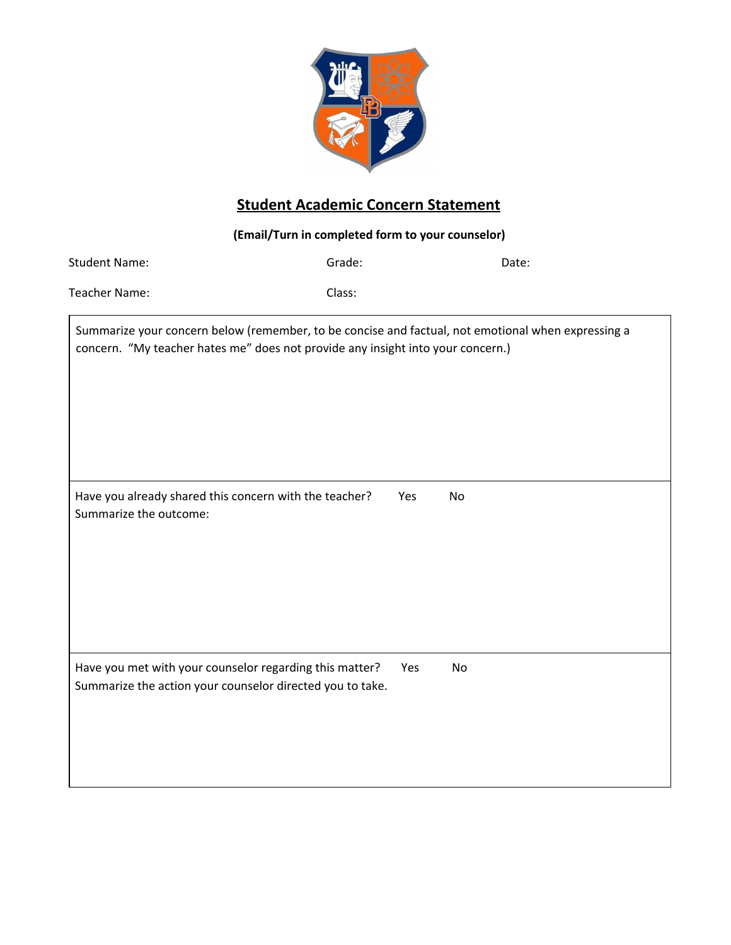

## **Student Academic Concern Statement**

**(Email/Turn in completed form to your counselor)** Student Name: Grade: Date: Teacher Name: Class: Summarize your concern below (remember, to be concise and factual, not emotional when expressing a concern. "My teacher hates me" does not provide any insight into your concern.) Have you already shared this concern with the teacher? Yes No Summarize the outcome: Have you met with your counselor regarding this matter? Yes No Summarize the action your counselor directed you to take.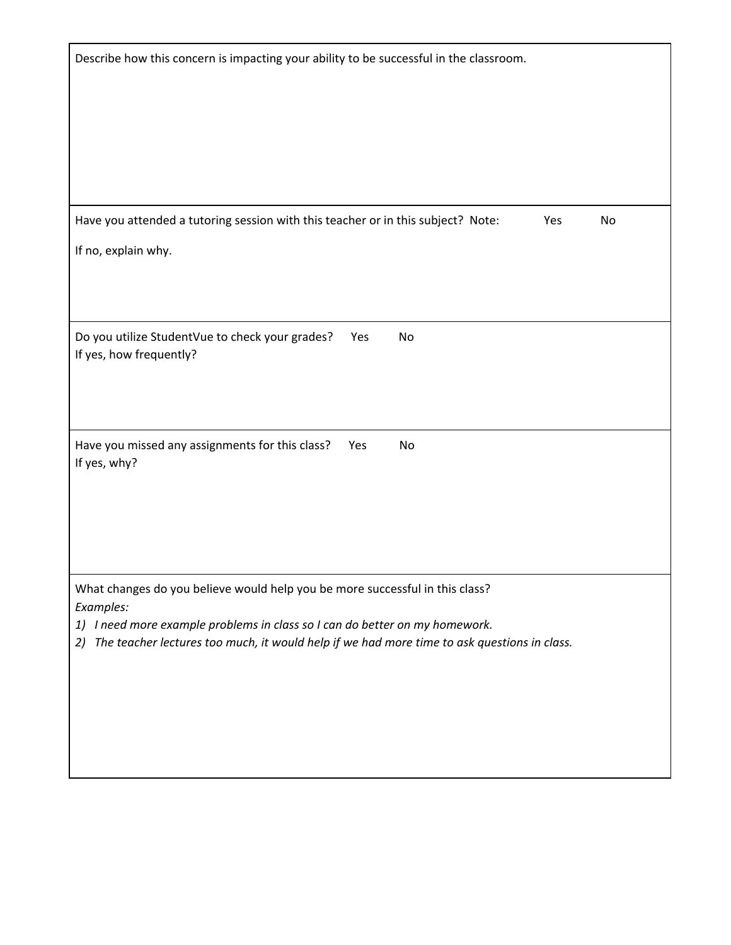| Describe how this concern is impacting your ability to be successful in the classroom.                                                                                                                                                                                     |
|----------------------------------------------------------------------------------------------------------------------------------------------------------------------------------------------------------------------------------------------------------------------------|
| Have you attended a tutoring session with this teacher or in this subject? Note:<br>Yes<br>No                                                                                                                                                                              |
| If no, explain why.                                                                                                                                                                                                                                                        |
| Do you utilize StudentVue to check your grades?<br>No<br>Yes<br>If yes, how frequently?                                                                                                                                                                                    |
| Have you missed any assignments for this class?<br>Yes<br>No<br>If yes, why?                                                                                                                                                                                               |
| What changes do you believe would help you be more successful in this class?<br>Examples:<br>1) I need more example problems in class so I can do better on my homework.<br>2) The teacher lectures too much, it would help if we had more time to ask questions in class. |